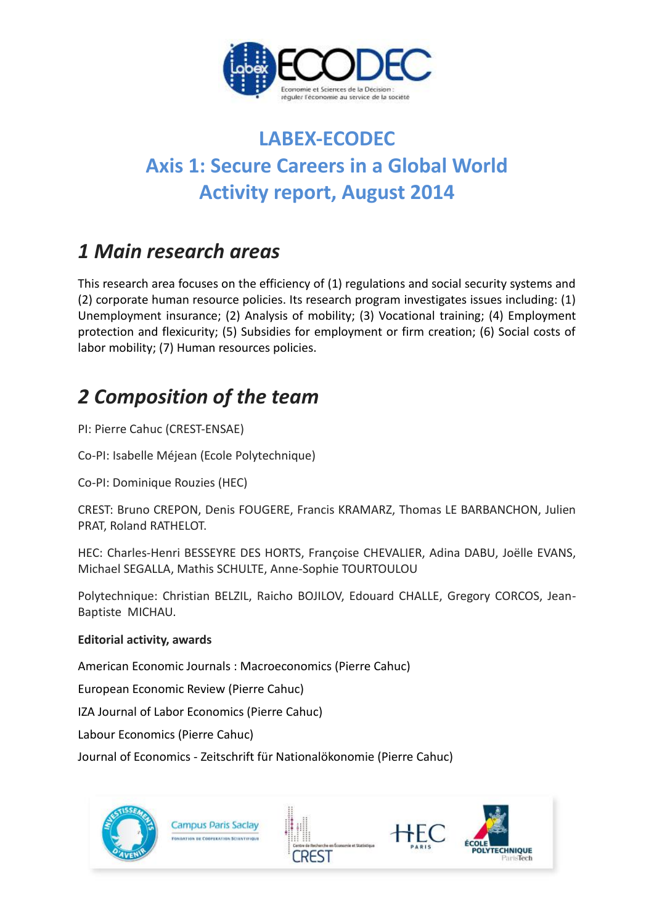

# **LABEX-ECODEC Axis 1: Secure Careers in a Global World Activity report, August 2014**

## *1 Main research areas*

This research area focuses on the efficiency of (1) regulations and social security systems and (2) corporate human resource policies. Its research program investigates issues including: (1) Unemployment insurance; (2) Analysis of mobility; (3) Vocational training; (4) Employment protection and flexicurity; (5) Subsidies for employment or firm creation; (6) Social costs of labor mobility; (7) Human resources policies.

# *2 Composition of the team*

PI: Pierre Cahuc (CREST-ENSAE)

Co-PI: Isabelle Méjean (Ecole Polytechnique)

Co-PI: Dominique Rouzies (HEC)

CREST: Bruno CREPON, Denis FOUGERE, Francis KRAMARZ, Thomas LE BARBANCHON, Julien PRAT, Roland RATHELOT.

HEC: Charles-Henri BESSEYRE DES HORTS, Françoise CHEVALIER, Adina DABU, Joëlle EVANS, Michael SEGALLA, Mathis SCHULTE, Anne-Sophie TOURTOULOU

Polytechnique: Christian BELZIL, Raicho BOJILOV, Edouard CHALLE, Gregory CORCOS, Jean-Baptiste MICHAU.

### **Editorial activity, awards**

American Economic Journals : Macroeconomics (Pierre Cahuc)

European Economic Review (Pierre Cahuc)

IZA Journal of Labor Economics (Pierre Cahuc)

Labour Economics (Pierre Cahuc)

Journal of Economics - Zeitschrift für Nationalökonomie (Pierre Cahuc)

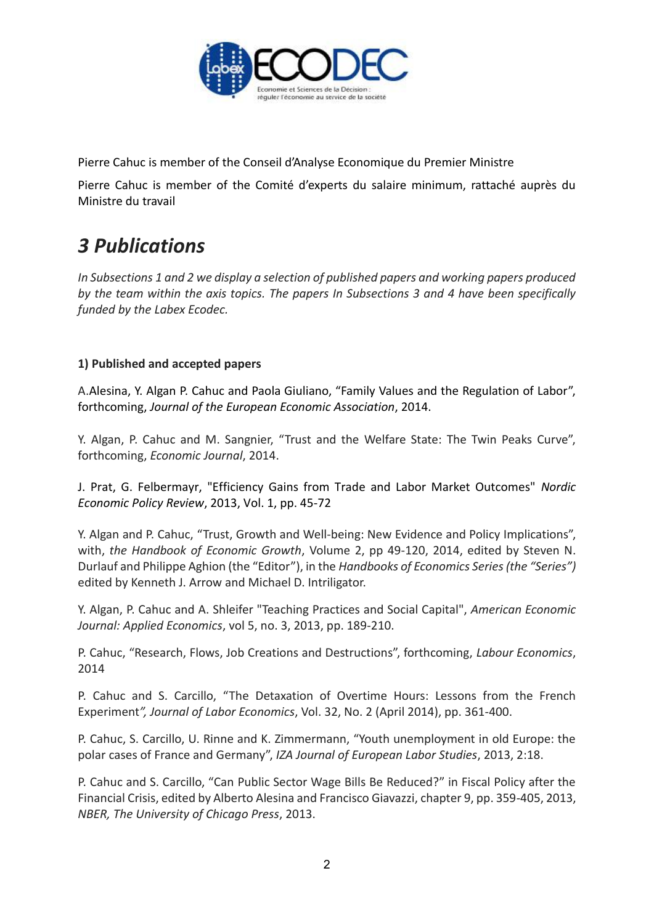

Pierre Cahuc is member of the Conseil d'Analyse Economique du Premier Ministre

Pierre Cahuc is member of the Comité d'experts du salaire minimum, rattaché auprès du Ministre du travail

## *3 Publications*

*In Subsections 1 and 2 we display a selection of published papers and working papers produced by the team within the axis topics. The papers In Subsections 3 and 4 have been specifically funded by the Labex Ecodec.*

### **1) Published and accepted papers**

A.Alesina, Y. Algan P. Cahuc and Paola Giuliano, "Family Values and the Regulation of Labor", forthcoming, *Journal of the European Economic Association*, 2014.

Y. Algan, P. Cahuc and M. Sangnier, "Trust and the Welfare State: The Twin Peaks Curve", forthcoming, *Economic Journal*, 2014.

J. Prat, G. Felbermayr, "Efficiency Gains from Trade and Labor Market Outcomes" *Nordic Economic Policy Review*, 2013, Vol. 1, pp. 45-72

Y. Algan and P. Cahuc, "Trust, Growth and Well-being: New Evidence and Policy Implications", with, *the Handbook of Economic Growth*, Volume 2, pp 49-120, 2014, edited by Steven N. Durlauf and Philippe Aghion (the "Editor"), in the *Handbooks of Economics Series (the "Series")*  edited by Kenneth J. Arrow and Michael D. Intriligator.

Y. Algan, P. Cahuc and A. Shleifer "Teaching Practices and Social Capital", *American Economic Journal: Applied Economics*, vol 5, no. 3, 2013, pp. 189-210.

P. Cahuc, "Research, Flows, Job Creations and Destructions", forthcoming, *Labour Economics*, 2014

P. Cahuc and S. Carcillo, "The Detaxation of Overtime Hours: Lessons from the French Experiment*", Journal of Labor Economics*, Vol. 32, No. 2 (April 2014), pp. 361-400.

P. Cahuc, S. Carcillo, U. Rinne and K. Zimmermann, "Youth unemployment in old Europe: the polar cases of France and Germany", *IZA Journal of European Labor Studies*, 2013, 2:18.

P. Cahuc and S. Carcillo, "Can Public Sector Wage Bills Be Reduced?" in Fiscal Policy after the Financial Crisis, edited by Alberto Alesina and Francisco Giavazzi, chapter 9, pp. 359-405, 2013, *NBER, The University of Chicago Press*, 2013.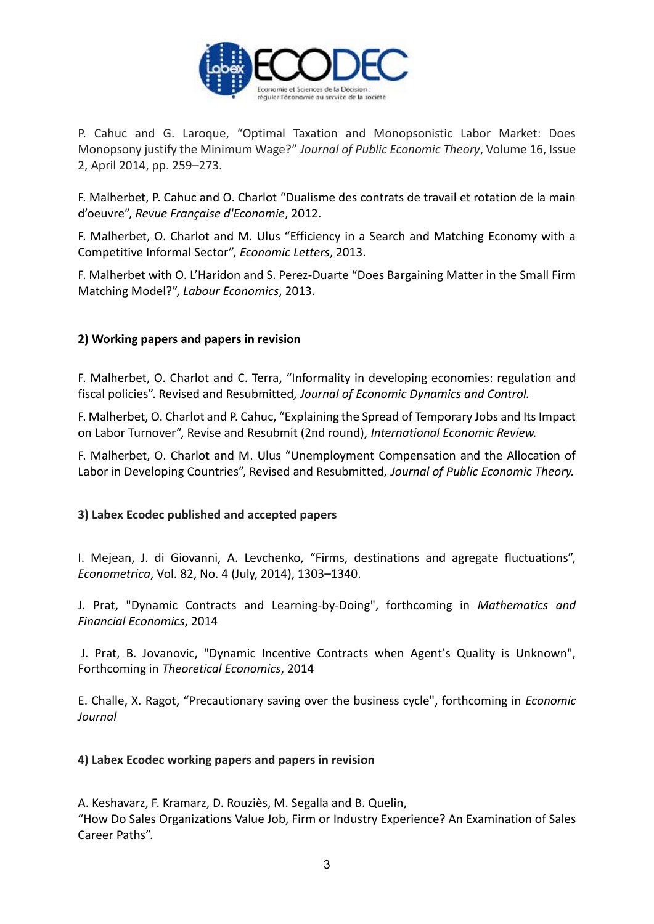

P. Cahuc and G. Laroque, "Optimal Taxation and Monopsonistic Labor Market: Does Monopsony justify the Minimum Wage?" *Journal of Public Economic Theory*, Volume 16, Issue 2, April 2014, pp. 259–273.

F. Malherbet, P. Cahuc and O. Charlot "Dualisme des contrats de travail et rotation de la main d'oeuvre", *Revue Française d'Economie*, 2012.

F. Malherbet, O. Charlot and M. Ulus "Efficiency in a Search and Matching Economy with a Competitive Informal Sector", *Economic Letters*, 2013.

F. Malherbet with O. L'Haridon and S. Perez-Duarte "Does Bargaining Matter in the Small Firm Matching Model?", *Labour Economics*, 2013.

### **2) Working papers and papers in revision**

F. Malherbet, O. Charlot and C. Terra, "Informality in developing economies: regulation and fiscal policies". Revised and Resubmitted*, Journal of Economic Dynamics and Control.*

F. Malherbet, O. Charlot and P. Cahuc, "Explaining the Spread of Temporary Jobs and Its Impact on Labor Turnover", Revise and Resubmit (2nd round), *International Economic Review.*

F. Malherbet, O. Charlot and M. Ulus "Unemployment Compensation and the Allocation of Labor in Developing Countries", Revised and Resubmitted*, Journal of Public Economic Theory.*

#### **3) Labex Ecodec published and accepted papers**

I. Mejean, J. di Giovanni, A. Levchenko, "Firms, destinations and agregate fluctuations", *Econometrica*, Vol. 82, No. 4 (July, 2014), 1303–1340.

J. Prat, "Dynamic Contracts and Learning-by-Doing", forthcoming in *Mathematics and Financial Economics*, 2014

J. Prat, B. Jovanovic, "Dynamic Incentive Contracts when Agent's Quality is Unknown", Forthcoming in *Theoretical Economics*, 2014

E. Challe, X. Ragot, "Precautionary saving over the business cycle", forthcoming in *Economic Journal* 

#### **4) Labex Ecodec working papers and papers in revision**

A. Keshavarz, F. Kramarz, D. Rouziès, M. Segalla and B. Quelin, "How Do Sales Organizations Value Job, Firm or Industry Experience? An Examination of Sales Career Paths".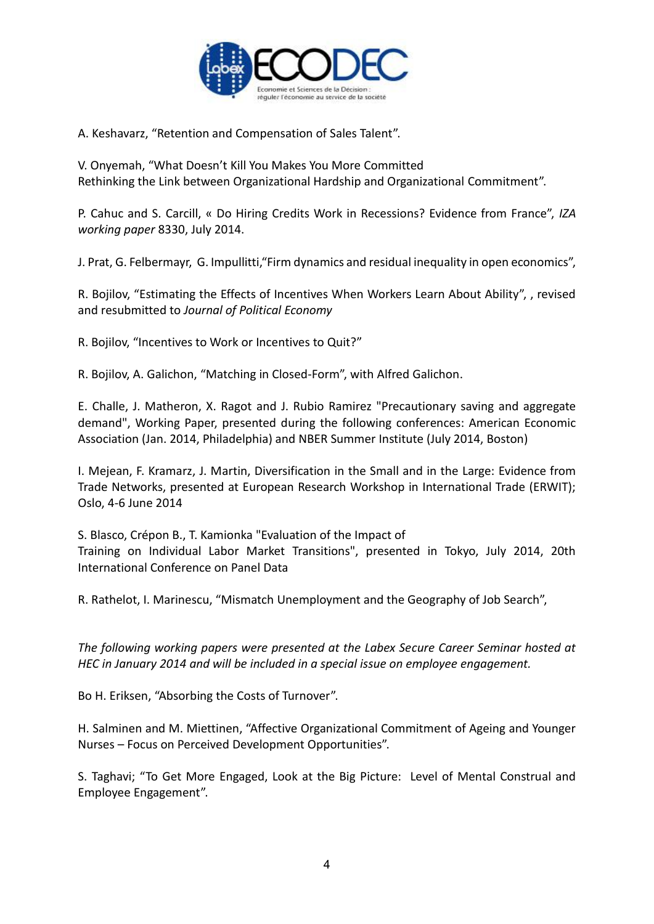

A. Keshavarz, "Retention and Compensation of Sales Talent".

V. Onyemah, "What Doesn't Kill You Makes You More Committed Rethinking the Link between Organizational Hardship and Organizational Commitment".

P. Cahuc and S. Carcill, « Do Hiring Credits Work in Recessions? Evidence from France", *IZA working paper* 8330, July 2014.

J. Prat, G. Felbermayr, G. Impullitti,"Firm dynamics and residual inequality in open economics",

R. Bojilov, "Estimating the Effects of Incentives When Workers Learn About Ability", , revised and resubmitted to *Journal of Political Economy*

R. Bojilov, "Incentives to Work or Incentives to Quit?"

R. Bojilov, A. Galichon, "Matching in Closed-Form", with Alfred Galichon.

E. Challe, J. Matheron, X. Ragot and J. Rubio Ramirez "Precautionary saving and aggregate demand", Working Paper, presented during the following conferences: American Economic Association (Jan. 2014, Philadelphia) and NBER Summer Institute (July 2014, Boston)

I. Mejean, F. Kramarz, J. Martin, Diversification in the Small and in the Large: Evidence from Trade Networks, presented at European Research Workshop in International Trade (ERWIT); Oslo, 4-6 June 2014

S. Blasco, Crépon B., T. Kamionka "Evaluation of the Impact of Training on Individual Labor Market Transitions", presented in Tokyo, July 2014, 20th International Conference on Panel Data

R. Rathelot, I. Marinescu, "Mismatch Unemployment and the Geography of Job Search",

*The following working papers were presented at the Labex Secure Career Seminar hosted at HEC in January 2014 and will be included in a special issue on employee engagement.*

Bo H. Eriksen, "Absorbing the Costs of Turnover".

H. Salminen and M. Miettinen, "Affective Organizational Commitment of Ageing and Younger Nurses – Focus on Perceived Development Opportunities".

S. Taghavi; "To Get More Engaged, Look at the Big Picture: Level of Mental Construal and Employee Engagement".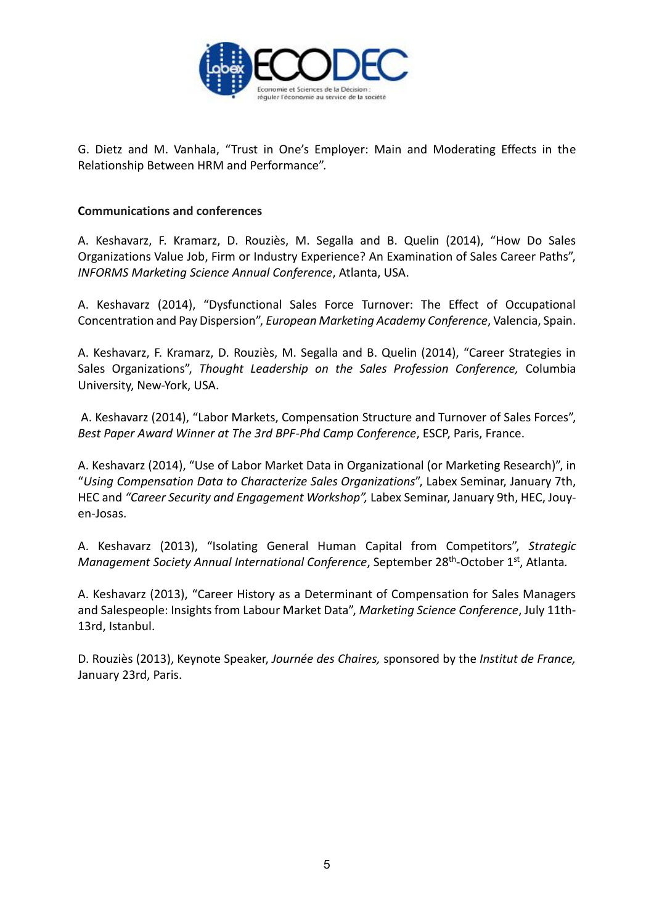

G. Dietz and M. Vanhala, "Trust in One's Employer: Main and Moderating Effects in the Relationship Between HRM and Performance".

### **Communications and conferences**

A. Keshavarz, F. Kramarz, D. Rouziès, M. Segalla and B. Quelin (2014), "How Do Sales Organizations Value Job, Firm or Industry Experience? An Examination of Sales Career Paths", *INFORMS Marketing Science Annual Conference*, Atlanta, USA.

A. Keshavarz (2014), "Dysfunctional Sales Force Turnover: The Effect of Occupational Concentration and Pay Dispersion", *European Marketing Academy Conference*, Valencia, Spain.

A. Keshavarz, F. Kramarz, D. Rouziès, M. Segalla and B. Quelin (2014), "Career Strategies in Sales Organizations", *Thought Leadership on the Sales Profession Conference,* Columbia University, New-York, USA.

A. Keshavarz (2014), "Labor Markets, Compensation Structure and Turnover of Sales Forces", *Best Paper Award Winner at The 3rd BPF-Phd Camp Conference*, ESCP, Paris, France.

A. Keshavarz (2014), "Use of Labor Market Data in Organizational (or Marketing Research)", in "*Using Compensation Data to Characterize Sales Organizations*", Labex Seminar, January 7th, HEC and *"Career Security and Engagement Workshop",* Labex Seminar, January 9th, HEC, Jouyen-Josas.

A. Keshavarz (2013), "Isolating General Human Capital from Competitors", *Strategic*  Management Society Annual International Conference, September 28<sup>th</sup>-October 1<sup>st</sup>, Atlanta.

A. Keshavarz (2013), "Career History as a Determinant of Compensation for Sales Managers and Salespeople: Insights from Labour Market Data", *Marketing Science Conference*, July 11th-13rd, Istanbul.

D. Rouziès (2013), Keynote Speaker, *Journée des Chaires,* sponsored by the *Institut de France,*  January 23rd, Paris.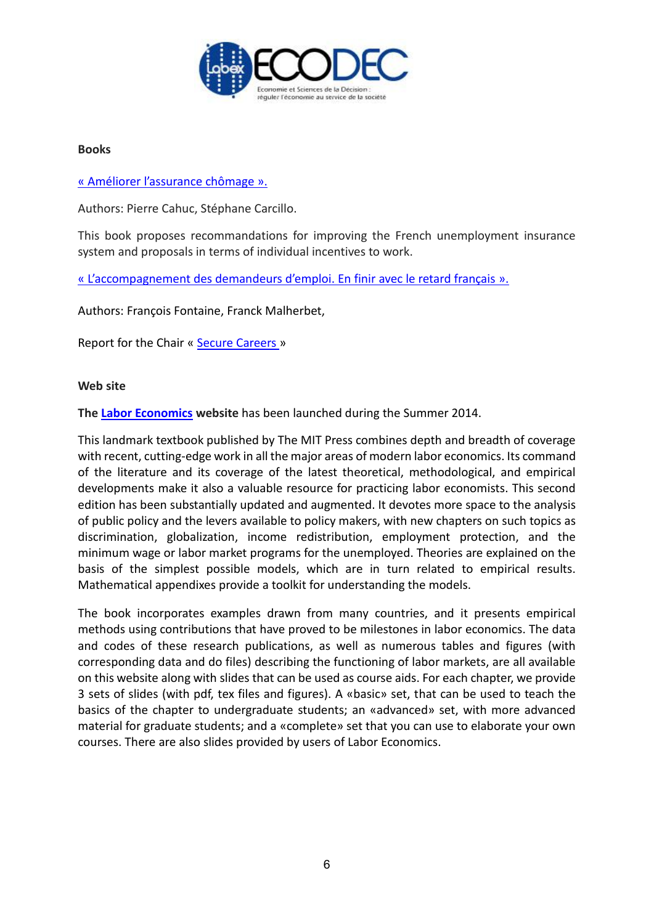

#### **Books**

### « [Améliorer l'assurance chômage](http://www.pressesdesciencespo.fr/fr/livre/?GCOI=27246100857320) ».

Authors: Pierre Cahuc, Stéphane Carcillo.

This book proposes recommandations for improving the French unemployment insurance system and proposals in terms of individual incentives to work.

« [L'accompagnement des demandeurs d'emploi. En finir avec le retard français](http://www.pressesdesciencespo.fr/fr/livre/?GCOI=27246100004430&fa=author&person_id=1564) ».

Authors: François Fontaine, Franck Malherbet,

Report for the Chair « [Secure Careers](http://chaire-securisation.fr/) »

#### **Web site**

**The [Labor Economics](http://www.labor-economics.org/) website** has been launched during the Summer 2014.

This landmark textbook published by The MIT Press combines depth and breadth of coverage with recent, cutting-edge work in all the major areas of modern labor economics. Its command of the literature and its coverage of the latest theoretical, methodological, and empirical developments make it also a valuable resource for practicing labor economists. This second edition has been substantially updated and augmented. It devotes more space to the analysis of public policy and the levers available to policy makers, with new chapters on such topics as discrimination, globalization, income redistribution, employment protection, and the minimum wage or labor market programs for the unemployed. Theories are explained on the basis of the simplest possible models, which are in turn related to empirical results. Mathematical appendixes provide a toolkit for understanding the models.

The book incorporates examples drawn from many countries, and it presents empirical methods using contributions that have proved to be milestones in labor economics. The data and codes of these research publications, as well as numerous tables and figures (with corresponding data and do files) describing the functioning of labor markets, are all available on this website along with slides that can be used as course aids. For each chapter, we provide 3 sets of slides (with pdf, tex files and figures). A «basic» set, that can be used to teach the basics of the chapter to undergraduate students; an «advanced» set, with more advanced material for graduate students; and a «complete» set that you can use to elaborate your own courses. There are also slides provided by users of Labor Economics.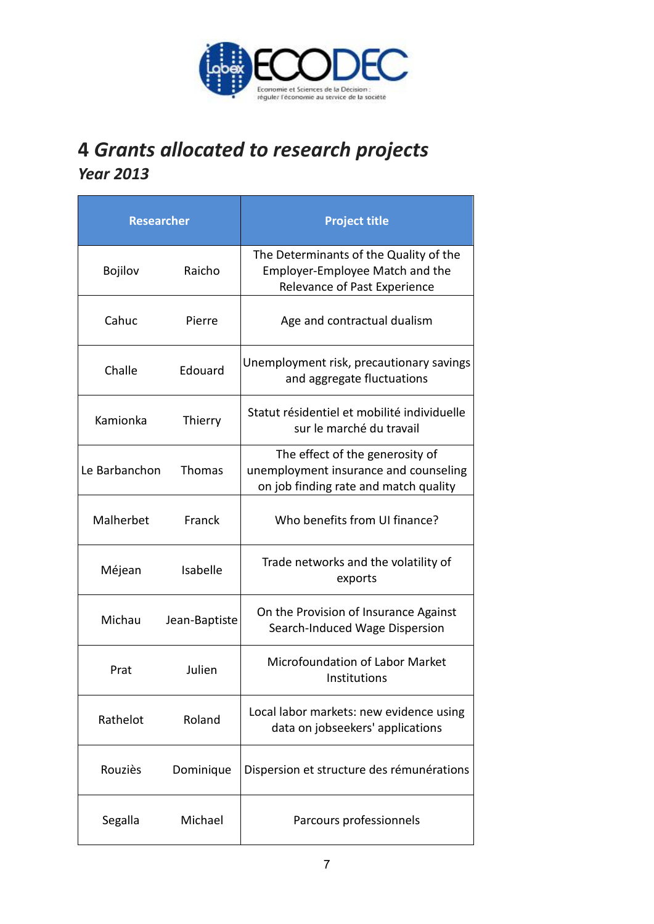

### **4** *Grants allocated to research projects Year 2013*

| <b>Researcher</b>         |               | <b>Project title</b>                                                                                              |  |
|---------------------------|---------------|-------------------------------------------------------------------------------------------------------------------|--|
| <b>Bojilov</b>            | Raicho        | The Determinants of the Quality of the<br>Employer-Employee Match and the<br>Relevance of Past Experience         |  |
| Cahuc<br>Pierre           |               | Age and contractual dualism                                                                                       |  |
| Challe<br>Edouard         |               | Unemployment risk, precautionary savings<br>and aggregate fluctuations                                            |  |
| Kamionka<br>Thierry       |               | Statut résidentiel et mobilité individuelle<br>sur le marché du travail                                           |  |
| Le Barbanchon             | <b>Thomas</b> | The effect of the generosity of<br>unemployment insurance and counseling<br>on job finding rate and match quality |  |
| Malherbet                 | Franck        | Who benefits from UI finance?                                                                                     |  |
| <b>Isabelle</b><br>Méjean |               | Trade networks and the volatility of<br>exports                                                                   |  |
| Michau<br>Jean-Baptiste   |               | On the Provision of Insurance Against<br>Search-Induced Wage Dispersion                                           |  |
| Julien<br>Prat            |               | Microfoundation of Labor Market<br>Institutions                                                                   |  |
| Rathelot<br>Roland        |               | Local labor markets: new evidence using<br>data on jobseekers' applications                                       |  |
| Rouziès                   | Dominique     | Dispersion et structure des rémunérations                                                                         |  |
| Segalla<br>Michael        |               | Parcours professionnels                                                                                           |  |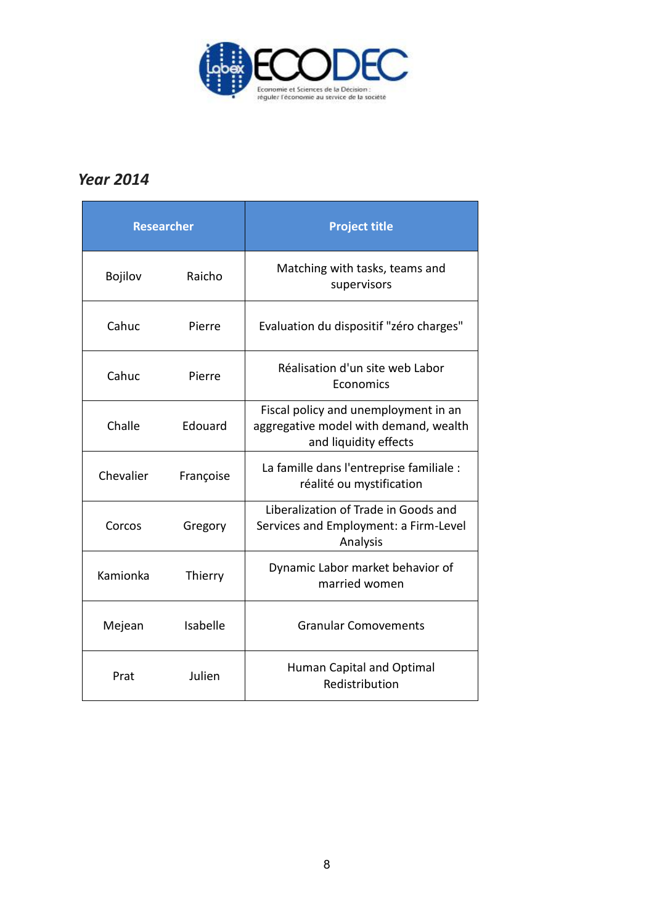

### *Year 2014*

| <b>Researcher</b> |           | <b>Project title</b>                                                                                   |  |
|-------------------|-----------|--------------------------------------------------------------------------------------------------------|--|
| <b>Bojilov</b>    | Raicho    | Matching with tasks, teams and<br>supervisors                                                          |  |
| Cahuc             | Pierre    | Evaluation du dispositif "zéro charges"                                                                |  |
| Cahuc             | Pierre    | Réalisation d'un site web Labor<br>Economics                                                           |  |
| Challe            | Edouard   | Fiscal policy and unemployment in an<br>aggregative model with demand, wealth<br>and liquidity effects |  |
| Chevalier         | Françoise | La famille dans l'entreprise familiale :<br>réalité ou mystification                                   |  |
| Corcos            | Gregory   | Liberalization of Trade in Goods and<br>Services and Employment: a Firm-Level<br>Analysis              |  |
| Kamionka          | Thierry   | Dynamic Labor market behavior of<br>married women                                                      |  |
| Mejean            | Isabelle  | <b>Granular Comovements</b>                                                                            |  |
| Prat              | Julien    | <b>Human Capital and Optimal</b><br>Redistribution                                                     |  |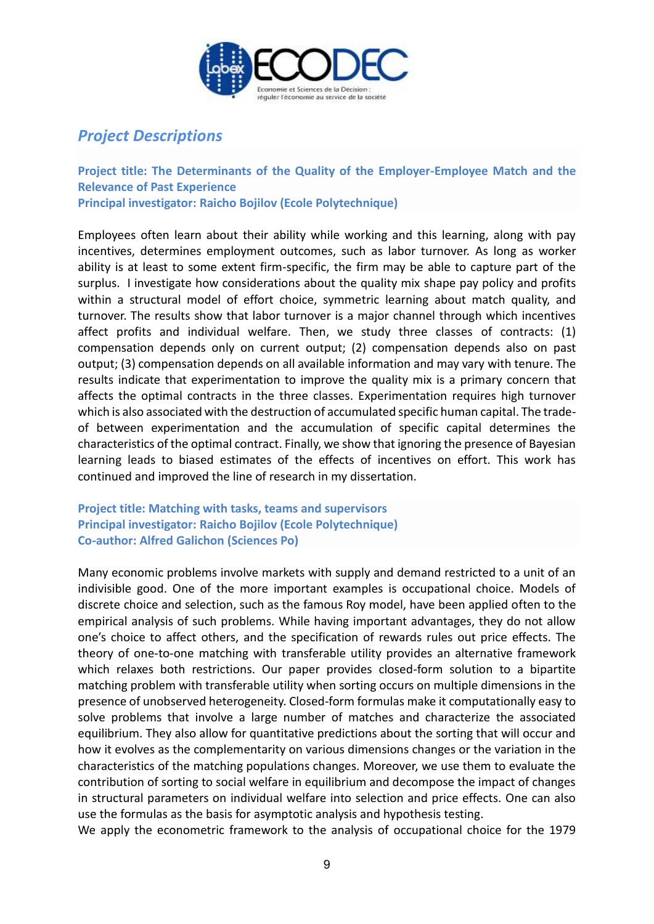

### *Project Descriptions*

**Project title: The Determinants of the Quality of the Employer-Employee Match and the Relevance of Past Experience Principal investigator: Raicho Bojilov (Ecole Polytechnique)**

Employees often learn about their ability while working and this learning, along with pay incentives, determines employment outcomes, such as labor turnover. As long as worker ability is at least to some extent firm-specific, the firm may be able to capture part of the surplus. I investigate how considerations about the quality mix shape pay policy and profits within a structural model of effort choice, symmetric learning about match quality, and turnover. The results show that labor turnover is a major channel through which incentives affect profits and individual welfare. Then, we study three classes of contracts: (1) compensation depends only on current output; (2) compensation depends also on past output; (3) compensation depends on all available information and may vary with tenure. The results indicate that experimentation to improve the quality mix is a primary concern that affects the optimal contracts in the three classes. Experimentation requires high turnover which is also associated with the destruction of accumulated specific human capital. The tradeof between experimentation and the accumulation of specific capital determines the characteristics of the optimal contract. Finally, we show that ignoring the presence of Bayesian learning leads to biased estimates of the effects of incentives on effort. This work has continued and improved the line of research in my dissertation.

### **Project title: Matching with tasks, teams and supervisors Principal investigator: Raicho Bojilov (Ecole Polytechnique) Co-author: Alfred Galichon (Sciences Po)**

Many economic problems involve markets with supply and demand restricted to a unit of an indivisible good. One of the more important examples is occupational choice. Models of discrete choice and selection, such as the famous Roy model, have been applied often to the empirical analysis of such problems. While having important advantages, they do not allow one's choice to affect others, and the specification of rewards rules out price effects. The theory of one-to-one matching with transferable utility provides an alternative framework which relaxes both restrictions. Our paper provides closed-form solution to a bipartite matching problem with transferable utility when sorting occurs on multiple dimensions in the presence of unobserved heterogeneity. Closed-form formulas make it computationally easy to solve problems that involve a large number of matches and characterize the associated equilibrium. They also allow for quantitative predictions about the sorting that will occur and how it evolves as the complementarity on various dimensions changes or the variation in the characteristics of the matching populations changes. Moreover, we use them to evaluate the contribution of sorting to social welfare in equilibrium and decompose the impact of changes in structural parameters on individual welfare into selection and price effects. One can also use the formulas as the basis for asymptotic analysis and hypothesis testing.

We apply the econometric framework to the analysis of occupational choice for the 1979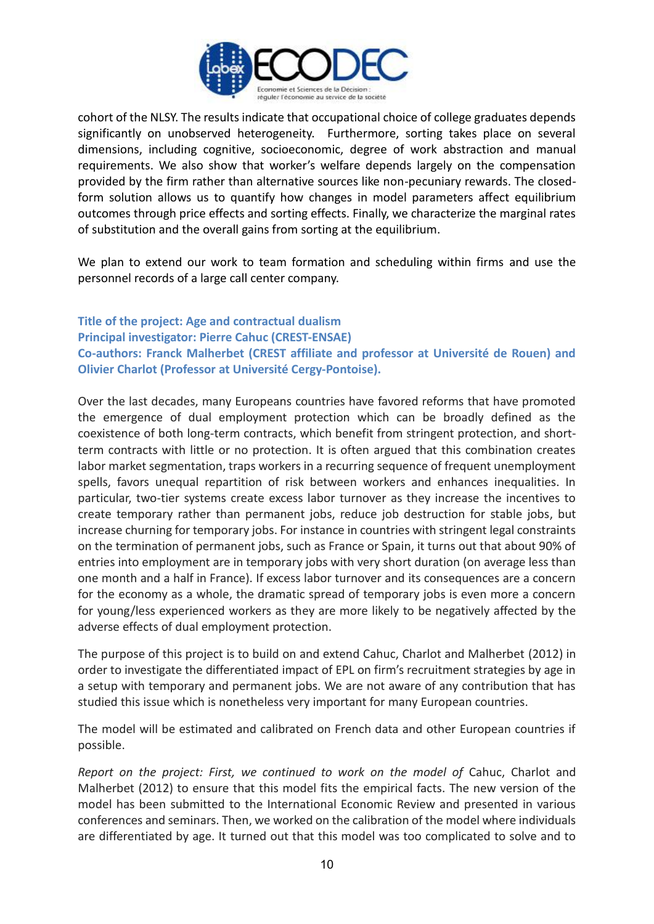

cohort of the NLSY. The results indicate that occupational choice of college graduates depends significantly on unobserved heterogeneity. Furthermore, sorting takes place on several dimensions, including cognitive, socioeconomic, degree of work abstraction and manual requirements. We also show that worker's welfare depends largely on the compensation provided by the firm rather than alternative sources like non-pecuniary rewards. The closedform solution allows us to quantify how changes in model parameters affect equilibrium outcomes through price effects and sorting effects. Finally, we characterize the marginal rates of substitution and the overall gains from sorting at the equilibrium.

We plan to extend our work to team formation and scheduling within firms and use the personnel records of a large call center company.

**Title of the project: Age and contractual dualism Principal investigator: Pierre Cahuc (CREST-ENSAE) Co-authors: Franck Malherbet (CREST affiliate and professor at Université de Rouen) and Olivier Charlot (Professor at Université Cergy-Pontoise).**

Over the last decades, many Europeans countries have favored reforms that have promoted the emergence of dual employment protection which can be broadly defined as the coexistence of both long-term contracts, which benefit from stringent protection, and shortterm contracts with little or no protection. It is often argued that this combination creates labor market segmentation, traps workers in a recurring sequence of frequent unemployment spells, favors unequal repartition of risk between workers and enhances inequalities. In particular, two-tier systems create excess labor turnover as they increase the incentives to create temporary rather than permanent jobs, reduce job destruction for stable jobs, but increase churning for temporary jobs. For instance in countries with stringent legal constraints on the termination of permanent jobs, such as France or Spain, it turns out that about 90% of entries into employment are in temporary jobs with very short duration (on average less than one month and a half in France). If excess labor turnover and its consequences are a concern for the economy as a whole, the dramatic spread of temporary jobs is even more a concern for young/less experienced workers as they are more likely to be negatively affected by the adverse effects of dual employment protection.

The purpose of this project is to build on and extend Cahuc, Charlot and Malherbet (2012) in order to investigate the differentiated impact of EPL on firm's recruitment strategies by age in a setup with temporary and permanent jobs. We are not aware of any contribution that has studied this issue which is nonetheless very important for many European countries.

The model will be estimated and calibrated on French data and other European countries if possible.

*Report on the project: First, we continued to work on the model of Cahuc, Charlot and* Malherbet (2012) to ensure that this model fits the empirical facts. The new version of the model has been submitted to the International Economic Review and presented in various conferences and seminars. Then, we worked on the calibration of the model where individuals are differentiated by age. It turned out that this model was too complicated to solve and to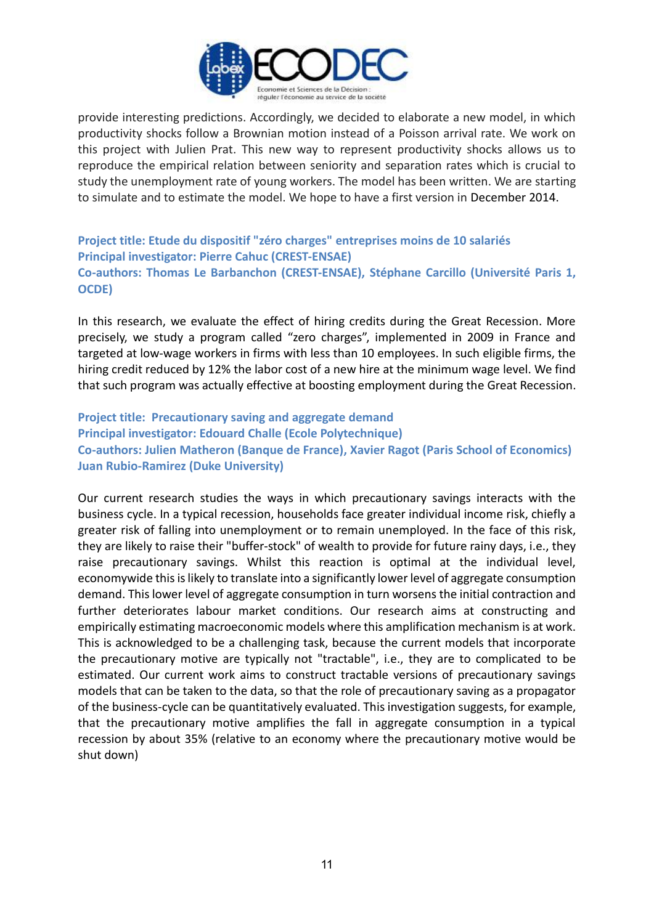

provide interesting predictions. Accordingly, we decided to elaborate a new model, in which productivity shocks follow a Brownian motion instead of a Poisson arrival rate. We work on this project with Julien Prat. This new way to represent productivity shocks allows us to reproduce the empirical relation between seniority and separation rates which is crucial to study the unemployment rate of young workers. The model has been written. We are starting to simulate and to estimate the model. We hope to have a first version in December 2014.

**Project title: Etude du dispositif "zéro charges" entreprises moins de 10 salariés Principal investigator: Pierre Cahuc (CREST-ENSAE) Co-authors: Thomas Le Barbanchon (CREST-ENSAE), Stéphane Carcillo (Université Paris 1, OCDE)**

In this research, we evaluate the effect of hiring credits during the Great Recession. More precisely, we study a program called "zero charges", implemented in 2009 in France and targeted at low-wage workers in firms with less than 10 employees. In such eligible firms, the hiring credit reduced by 12% the labor cost of a new hire at the minimum wage level. We find that such program was actually effective at boosting employment during the Great Recession.

**Project title: Precautionary saving and aggregate demand Principal investigator: Edouard Challe (Ecole Polytechnique) Co-authors: Julien Matheron (Banque de France), Xavier Ragot (Paris School of Economics) Juan Rubio-Ramirez (Duke University)**

Our current research studies the ways in which precautionary savings interacts with the business cycle. In a typical recession, households face greater individual income risk, chiefly a greater risk of falling into unemployment or to remain unemployed. In the face of this risk, they are likely to raise their "buffer-stock" of wealth to provide for future rainy days, i.e., they raise precautionary savings. Whilst this reaction is optimal at the individual level, economywide this is likely to translate into a significantly lower level of aggregate consumption demand. This lower level of aggregate consumption in turn worsens the initial contraction and further deteriorates labour market conditions. Our research aims at constructing and empirically estimating macroeconomic models where this amplification mechanism is at work. This is acknowledged to be a challenging task, because the current models that incorporate the precautionary motive are typically not "tractable", i.e., they are to complicated to be estimated. Our current work aims to construct tractable versions of precautionary savings models that can be taken to the data, so that the role of precautionary saving as a propagator of the business-cycle can be quantitatively evaluated. This investigation suggests, for example, that the precautionary motive amplifies the fall in aggregate consumption in a typical recession by about 35% (relative to an economy where the precautionary motive would be shut down)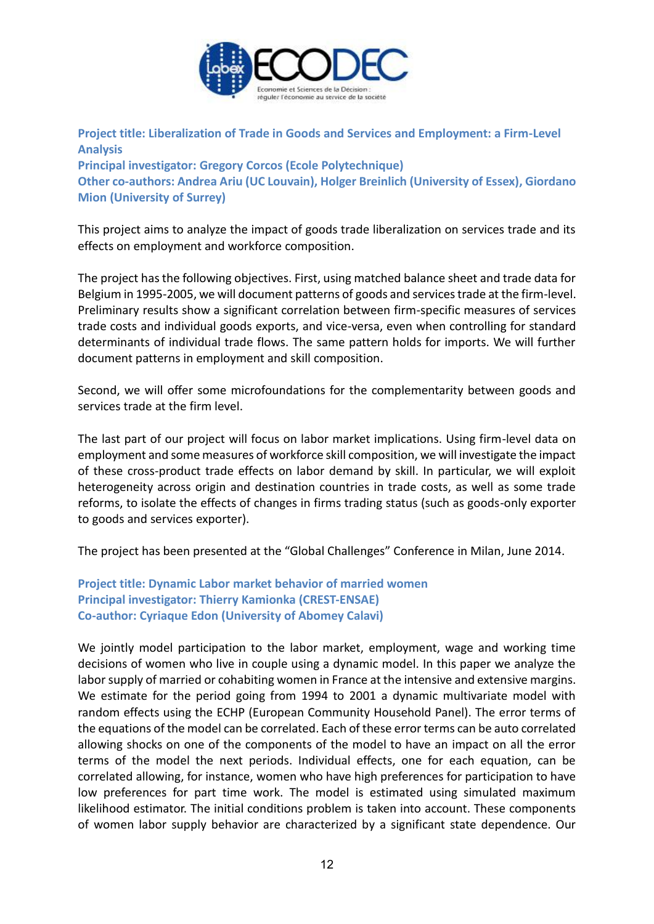

**Project title: Liberalization of Trade in Goods and Services and Employment: a Firm-Level Analysis Principal investigator: Gregory Corcos (Ecole Polytechnique)**

**Other co-authors: Andrea Ariu (UC Louvain), Holger Breinlich (University of Essex), Giordano Mion (University of Surrey)**

This project aims to analyze the impact of goods trade liberalization on services trade and its effects on employment and workforce composition.

The project has the following objectives. First, using matched balance sheet and trade data for Belgium in 1995-2005, we will document patterns of goods and services trade at the firm-level. Preliminary results show a significant correlation between firm-specific measures of services trade costs and individual goods exports, and vice-versa, even when controlling for standard determinants of individual trade flows. The same pattern holds for imports. We will further document patterns in employment and skill composition.

Second, we will offer some microfoundations for the complementarity between goods and services trade at the firm level.

The last part of our project will focus on labor market implications. Using firm-level data on employment and some measures of workforce skill composition, we will investigate the impact of these cross-product trade effects on labor demand by skill. In particular, we will exploit heterogeneity across origin and destination countries in trade costs, as well as some trade reforms, to isolate the effects of changes in firms trading status (such as goods-only exporter to goods and services exporter).

The project has been presented at the "Global Challenges" Conference in Milan, June 2014.

**Project title: Dynamic Labor market behavior of married women Principal investigator: Thierry Kamionka (CREST-ENSAE) Co-author: Cyriaque Edon (University of Abomey Calavi)**

We jointly model participation to the labor market, employment, wage and working time decisions of women who live in couple using a dynamic model. In this paper we analyze the labor supply of married or cohabiting women in France at the intensive and extensive margins. We estimate for the period going from 1994 to 2001 a dynamic multivariate model with random effects using the ECHP (European Community Household Panel). The error terms of the equations of the model can be correlated. Each of these error terms can be auto correlated allowing shocks on one of the components of the model to have an impact on all the error terms of the model the next periods. Individual effects, one for each equation, can be correlated allowing, for instance, women who have high preferences for participation to have low preferences for part time work. The model is estimated using simulated maximum likelihood estimator. The initial conditions problem is taken into account. These components of women labor supply behavior are characterized by a significant state dependence. Our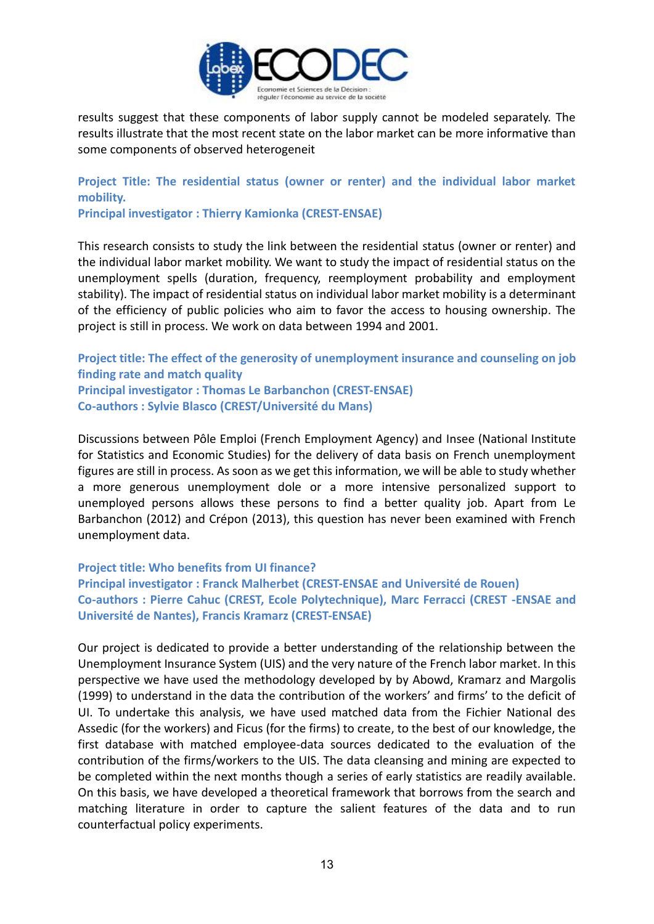

results suggest that these components of labor supply cannot be modeled separately. The results illustrate that the most recent state on the labor market can be more informative than some components of observed heterogeneit

**Project Title: The residential status (owner or renter) and the individual labor market mobility.** 

**Principal investigator : Thierry Kamionka (CREST-ENSAE)**

This research consists to study the link between the residential status (owner or renter) and the individual labor market mobility. We want to study the impact of residential status on the unemployment spells (duration, frequency, reemployment probability and employment stability). The impact of residential status on individual labor market mobility is a determinant of the efficiency of public policies who aim to favor the access to housing ownership. The project is still in process. We work on data between 1994 and 2001.

**Project title: The effect of the generosity of unemployment insurance and counseling on job finding rate and match quality Principal investigator : Thomas Le Barbanchon (CREST-ENSAE) Co-authors : Sylvie Blasco (CREST/Université du Mans)**

Discussions between Pôle Emploi (French Employment Agency) and Insee (National Institute for Statistics and Economic Studies) for the delivery of data basis on French unemployment figures are still in process. As soon as we get this information, we will be able to study whether a more generous unemployment dole or a more intensive personalized support to unemployed persons allows these persons to find a better quality job. Apart from Le Barbanchon (2012) and Crépon (2013), this question has never been examined with French unemployment data.

**Project title: Who benefits from UI finance? Principal investigator : Franck Malherbet (CREST-ENSAE and Université de Rouen) Co-authors : Pierre Cahuc (CREST, Ecole Polytechnique), Marc Ferracci (CREST -ENSAE and Université de Nantes), Francis Kramarz (CREST-ENSAE)**

Our project is dedicated to provide a better understanding of the relationship between the Unemployment Insurance System (UIS) and the very nature of the French labor market. In this perspective we have used the methodology developed by by Abowd, Kramarz and Margolis (1999) to understand in the data the contribution of the workers' and firms' to the deficit of UI. To undertake this analysis, we have used matched data from the Fichier National des Assedic (for the workers) and Ficus (for the firms) to create, to the best of our knowledge, the first database with matched employee-data sources dedicated to the evaluation of the contribution of the firms/workers to the UIS. The data cleansing and mining are expected to be completed within the next months though a series of early statistics are readily available. On this basis, we have developed a theoretical framework that borrows from the search and matching literature in order to capture the salient features of the data and to run counterfactual policy experiments.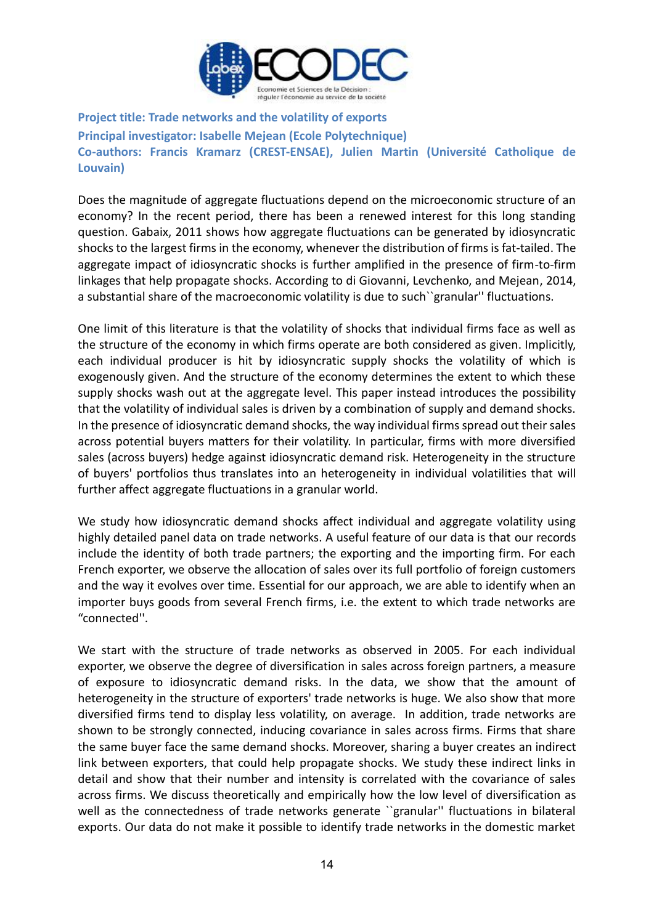

**Project title: Trade networks and the volatility of exports Principal investigator: Isabelle Mejean (Ecole Polytechnique) Co-authors: Francis Kramarz (CREST-ENSAE), Julien Martin (Université Catholique de Louvain)**

Does the magnitude of aggregate fluctuations depend on the microeconomic structure of an economy? In the recent period, there has been a renewed interest for this long standing question. Gabaix, 2011 shows how aggregate fluctuations can be generated by idiosyncratic shocks to the largest firms in the economy, whenever the distribution of firms is fat-tailed. The aggregate impact of idiosyncratic shocks is further amplified in the presence of firm-to-firm linkages that help propagate shocks. According to di Giovanni, Levchenko, and Mejean, 2014, a substantial share of the macroeconomic volatility is due to such``granular'' fluctuations.

One limit of this literature is that the volatility of shocks that individual firms face as well as the structure of the economy in which firms operate are both considered as given. Implicitly, each individual producer is hit by idiosyncratic supply shocks the volatility of which is exogenously given. And the structure of the economy determines the extent to which these supply shocks wash out at the aggregate level. This paper instead introduces the possibility that the volatility of individual sales is driven by a combination of supply and demand shocks. In the presence of idiosyncratic demand shocks, the way individual firms spread out their sales across potential buyers matters for their volatility. In particular, firms with more diversified sales (across buyers) hedge against idiosyncratic demand risk. Heterogeneity in the structure of buyers' portfolios thus translates into an heterogeneity in individual volatilities that will further affect aggregate fluctuations in a granular world.

We study how idiosyncratic demand shocks affect individual and aggregate volatility using highly detailed panel data on trade networks. A useful feature of our data is that our records include the identity of both trade partners; the exporting and the importing firm. For each French exporter, we observe the allocation of sales over its full portfolio of foreign customers and the way it evolves over time. Essential for our approach, we are able to identify when an importer buys goods from several French firms, i.e. the extent to which trade networks are "connected''.

We start with the structure of trade networks as observed in 2005. For each individual exporter, we observe the degree of diversification in sales across foreign partners, a measure of exposure to idiosyncratic demand risks. In the data, we show that the amount of heterogeneity in the structure of exporters' trade networks is huge. We also show that more diversified firms tend to display less volatility, on average. In addition, trade networks are shown to be strongly connected, inducing covariance in sales across firms. Firms that share the same buyer face the same demand shocks. Moreover, sharing a buyer creates an indirect link between exporters, that could help propagate shocks. We study these indirect links in detail and show that their number and intensity is correlated with the covariance of sales across firms. We discuss theoretically and empirically how the low level of diversification as well as the connectedness of trade networks generate ``granular'' fluctuations in bilateral exports. Our data do not make it possible to identify trade networks in the domestic market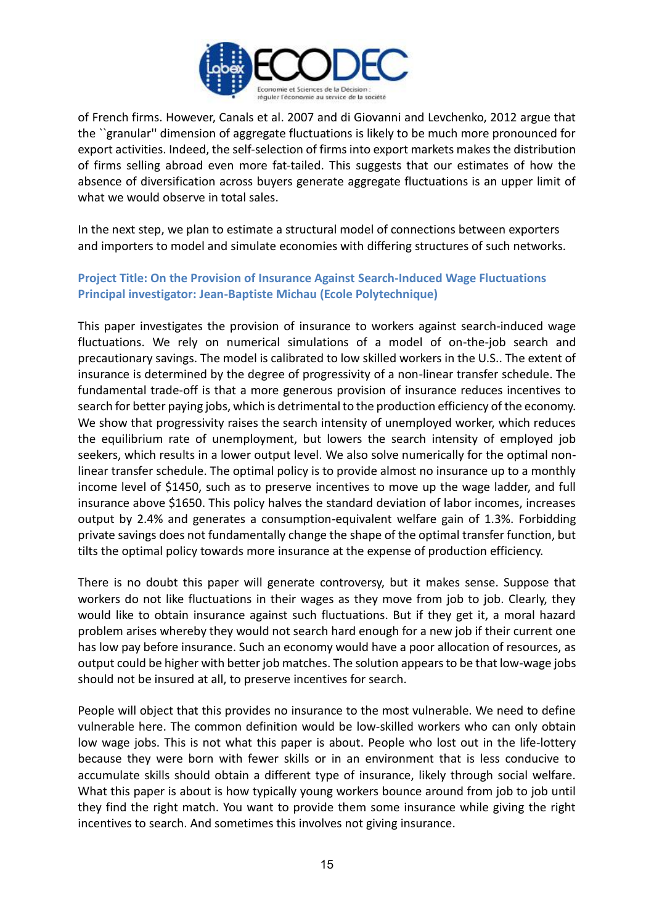

of French firms. However, Canals et al. 2007 and di Giovanni and Levchenko, 2012 argue that the ``granular'' dimension of aggregate fluctuations is likely to be much more pronounced for export activities. Indeed, the self-selection of firms into export markets makes the distribution of firms selling abroad even more fat-tailed. This suggests that our estimates of how the absence of diversification across buyers generate aggregate fluctuations is an upper limit of what we would observe in total sales.

In the next step, we plan to estimate a structural model of connections between exporters and importers to model and simulate economies with differing structures of such networks.

### **Project Title: On the Provision of Insurance Against Search-Induced Wage Fluctuations Principal investigator: Jean-Baptiste Michau (Ecole Polytechnique)**

This paper investigates the provision of insurance to workers against search-induced wage fluctuations. We rely on numerical simulations of a model of on-the-job search and precautionary savings. The model is calibrated to low skilled workers in the U.S.. The extent of insurance is determined by the degree of progressivity of a non-linear transfer schedule. The fundamental trade-off is that a more generous provision of insurance reduces incentives to search for better paying jobs, which is detrimental to the production efficiency of the economy. We show that progressivity raises the search intensity of unemployed worker, which reduces the equilibrium rate of unemployment, but lowers the search intensity of employed job seekers, which results in a lower output level. We also solve numerically for the optimal nonlinear transfer schedule. The optimal policy is to provide almost no insurance up to a monthly income level of \$1450, such as to preserve incentives to move up the wage ladder, and full insurance above \$1650. This policy halves the standard deviation of labor incomes, increases output by 2.4% and generates a consumption-equivalent welfare gain of 1.3%. Forbidding private savings does not fundamentally change the shape of the optimal transfer function, but tilts the optimal policy towards more insurance at the expense of production efficiency.

There is no doubt this paper will generate controversy, but it makes sense. Suppose that workers do not like fluctuations in their wages as they move from job to job. Clearly, they would like to obtain insurance against such fluctuations. But if they get it, a moral hazard problem arises whereby they would not search hard enough for a new job if their current one has low pay before insurance. Such an economy would have a poor allocation of resources, as output could be higher with better job matches. The solution appears to be that low-wage jobs should not be insured at all, to preserve incentives for search.

People will object that this provides no insurance to the most vulnerable. We need to define vulnerable here. The common definition would be low-skilled workers who can only obtain low wage jobs. This is not what this paper is about. People who lost out in the life-lottery because they were born with fewer skills or in an environment that is less conducive to accumulate skills should obtain a different type of insurance, likely through social welfare. What this paper is about is how typically young workers bounce around from job to job until they find the right match. You want to provide them some insurance while giving the right incentives to search. And sometimes this involves not giving insurance.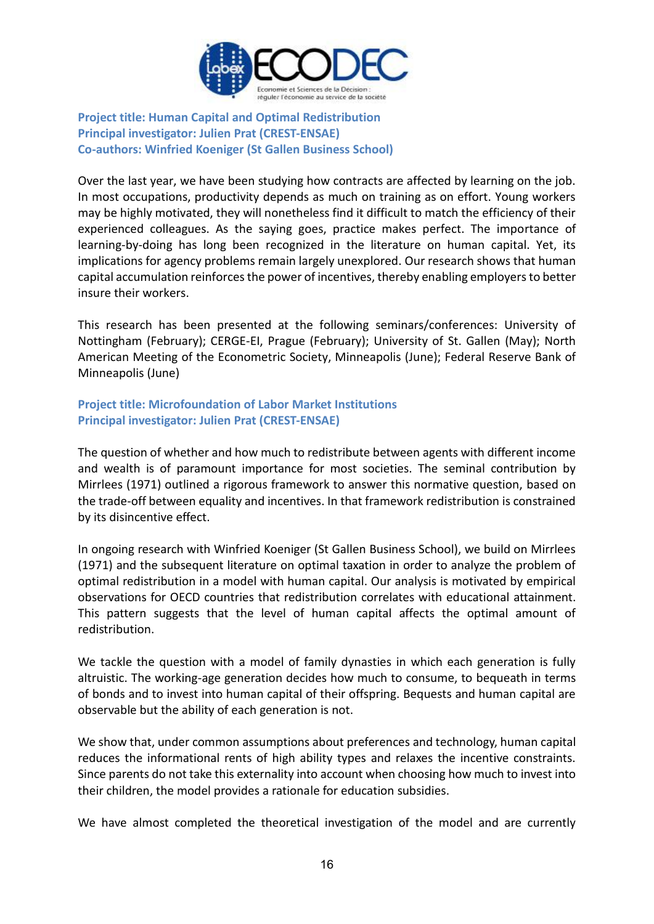

### **Project title: Human Capital and Optimal Redistribution Principal investigator: Julien Prat (CREST-ENSAE) Co-authors: Winfried Koeniger (St Gallen Business School)**

Over the last year, we have been studying how contracts are affected by learning on the job. In most occupations, productivity depends as much on training as on effort. Young workers may be highly motivated, they will nonetheless find it difficult to match the efficiency of their experienced colleagues. As the saying goes, practice makes perfect. The importance of learning-by-doing has long been recognized in the literature on human capital. Yet, its implications for agency problems remain largely unexplored. Our research shows that human capital accumulation reinforces the power of incentives, thereby enabling employers to better insure their workers.

This research has been presented at the following seminars/conferences: University of Nottingham (February); CERGE-EI, Prague (February); University of St. Gallen (May); North American Meeting of the Econometric Society, Minneapolis (June); Federal Reserve Bank of Minneapolis (June)

### **Project title: Microfoundation of Labor Market Institutions Principal investigator: Julien Prat (CREST-ENSAE)**

The question of whether and how much to redistribute between agents with different income and wealth is of paramount importance for most societies. The seminal contribution by Mirrlees (1971) outlined a rigorous framework to answer this normative question, based on the trade-off between equality and incentives. In that framework redistribution is constrained by its disincentive effect.

In ongoing research with Winfried Koeniger (St Gallen Business School), we build on Mirrlees (1971) and the subsequent literature on optimal taxation in order to analyze the problem of optimal redistribution in a model with human capital. Our analysis is motivated by empirical observations for OECD countries that redistribution correlates with educational attainment. This pattern suggests that the level of human capital affects the optimal amount of redistribution.

We tackle the question with a model of family dynasties in which each generation is fully altruistic. The working-age generation decides how much to consume, to bequeath in terms of bonds and to invest into human capital of their offspring. Bequests and human capital are observable but the ability of each generation is not.

We show that, under common assumptions about preferences and technology, human capital reduces the informational rents of high ability types and relaxes the incentive constraints. Since parents do not take this externality into account when choosing how much to invest into their children, the model provides a rationale for education subsidies.

We have almost completed the theoretical investigation of the model and are currently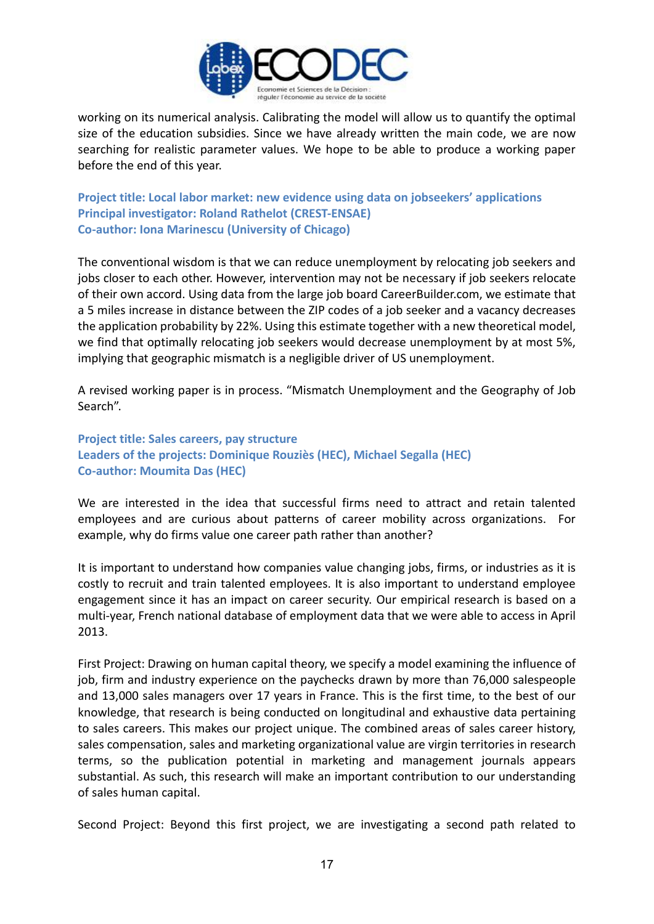

working on its numerical analysis. Calibrating the model will allow us to quantify the optimal size of the education subsidies. Since we have already written the main code, we are now searching for realistic parameter values. We hope to be able to produce a working paper before the end of this year.

**Project title: Local labor market: new evidence using data on jobseekers' applications Principal investigator: Roland Rathelot (CREST-ENSAE) Co-author: Iona Marinescu (University of Chicago)**

The conventional wisdom is that we can reduce unemployment by relocating job seekers and jobs closer to each other. However, intervention may not be necessary if job seekers relocate of their own accord. Using data from the large job board CareerBuilder.com, we estimate that a 5 miles increase in distance between the ZIP codes of a job seeker and a vacancy decreases the application probability by 22%. Using this estimate together with a new theoretical model, we find that optimally relocating job seekers would decrease unemployment by at most 5%, implying that geographic mismatch is a negligible driver of US unemployment.

A revised working paper is in process. "Mismatch Unemployment and the Geography of Job Search".

**Project title: Sales careers, pay structure Leaders of the projects: Dominique Rouziès (HEC), Michael Segalla (HEC) Co-author: Moumita Das (HEC)**

We are interested in the idea that successful firms need to attract and retain talented employees and are curious about patterns of career mobility across organizations. For example, why do firms value one career path rather than another?

It is important to understand how companies value changing jobs, firms, or industries as it is costly to recruit and train talented employees. It is also important to understand employee engagement since it has an impact on career security. Our empirical research is based on a multi-year, French national database of employment data that we were able to access in April 2013.

First Project: Drawing on human capital theory, we specify a model examining the influence of job, firm and industry experience on the paychecks drawn by more than 76,000 salespeople and 13,000 sales managers over 17 years in France. This is the first time, to the best of our knowledge, that research is being conducted on longitudinal and exhaustive data pertaining to sales careers. This makes our project unique. The combined areas of sales career history, sales compensation, sales and marketing organizational value are virgin territories in research terms, so the publication potential in marketing and management journals appears substantial. As such, this research will make an important contribution to our understanding of sales human capital.

Second Project: Beyond this first project, we are investigating a second path related to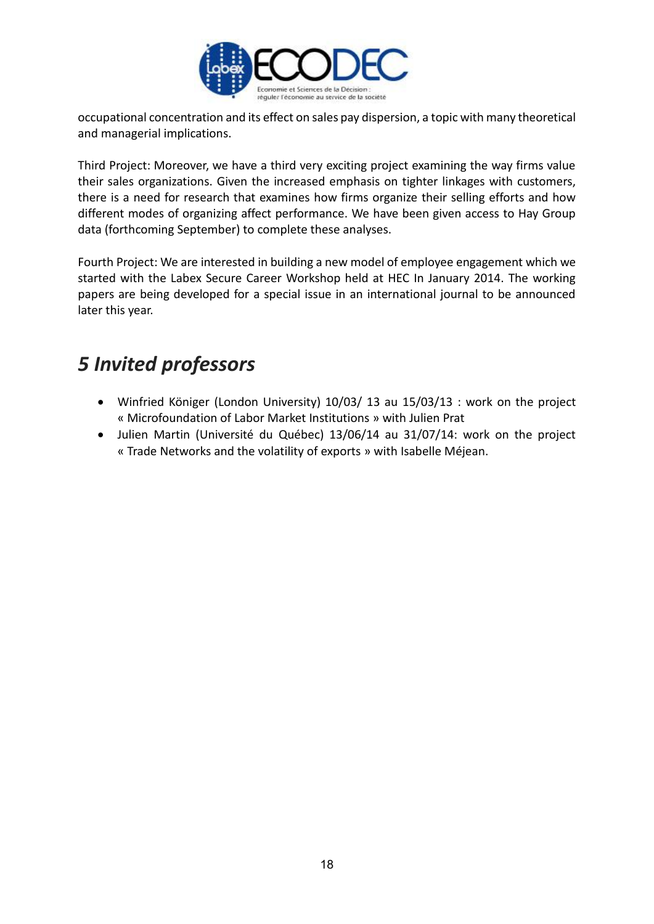

occupational concentration and its effect on sales pay dispersion, a topic with many theoretical and managerial implications.

Third Project: Moreover, we have a third very exciting project examining the way firms value their sales organizations. Given the increased emphasis on tighter linkages with customers, there is a need for research that examines how firms organize their selling efforts and how different modes of organizing affect performance. We have been given access to Hay Group data (forthcoming September) to complete these analyses.

Fourth Project: We are interested in building a new model of employee engagement which we started with the Labex Secure Career Workshop held at HEC In January 2014. The working papers are being developed for a special issue in an international journal to be announced later this year.

### *5 Invited professors*

- Winfried Königer (London University) 10/03/ 13 au 15/03/13 : work on the project « Microfoundation of Labor Market Institutions » with Julien Prat
- Julien Martin (Université du Québec) 13/06/14 au 31/07/14: work on the project « Trade Networks and the volatility of exports » with Isabelle Méjean.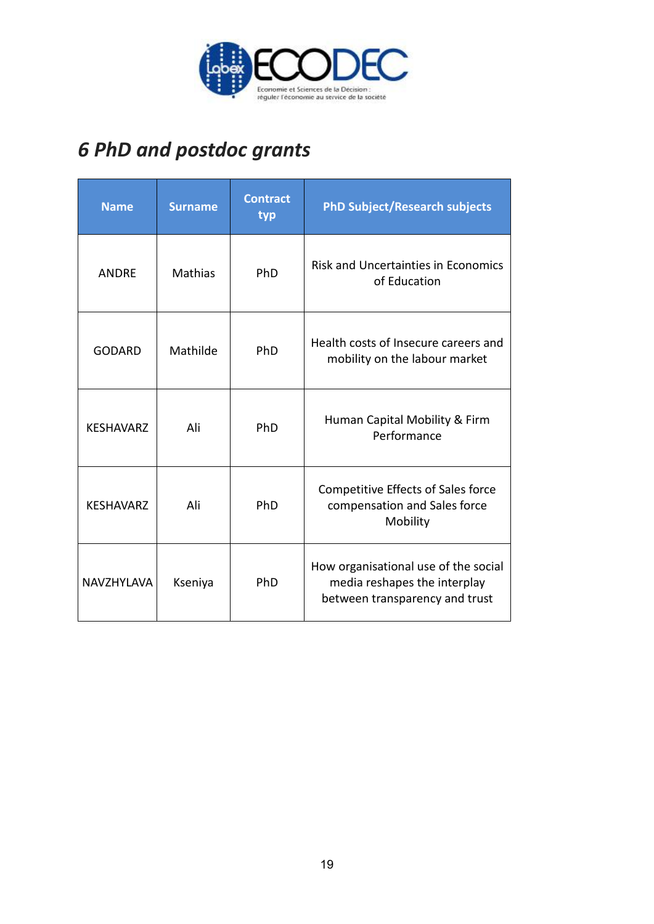

# *6 PhD and postdoc grants*

| <b>Name</b>       | <b>Surname</b> | <b>Contract</b><br>typ | <b>PhD Subject/Research subjects</b>                                                                   |
|-------------------|----------------|------------------------|--------------------------------------------------------------------------------------------------------|
| <b>ANDRF</b>      | Mathias        | PhD                    | <b>Risk and Uncertainties in Economics</b><br>of Education                                             |
| <b>GODARD</b>     | Mathilde       | PhD                    | Health costs of Insecure careers and<br>mobility on the labour market                                  |
| <b>KESHAVARZ</b>  | Ali            | PhD                    | Human Capital Mobility & Firm<br>Performance                                                           |
| <b>KESHAVARZ</b>  | Ali            | PhD                    | Competitive Effects of Sales force<br>compensation and Sales force<br>Mobility                         |
| <b>NAVZHYLAVA</b> | Kseniya        | PhD                    | How organisational use of the social<br>media reshapes the interplay<br>between transparency and trust |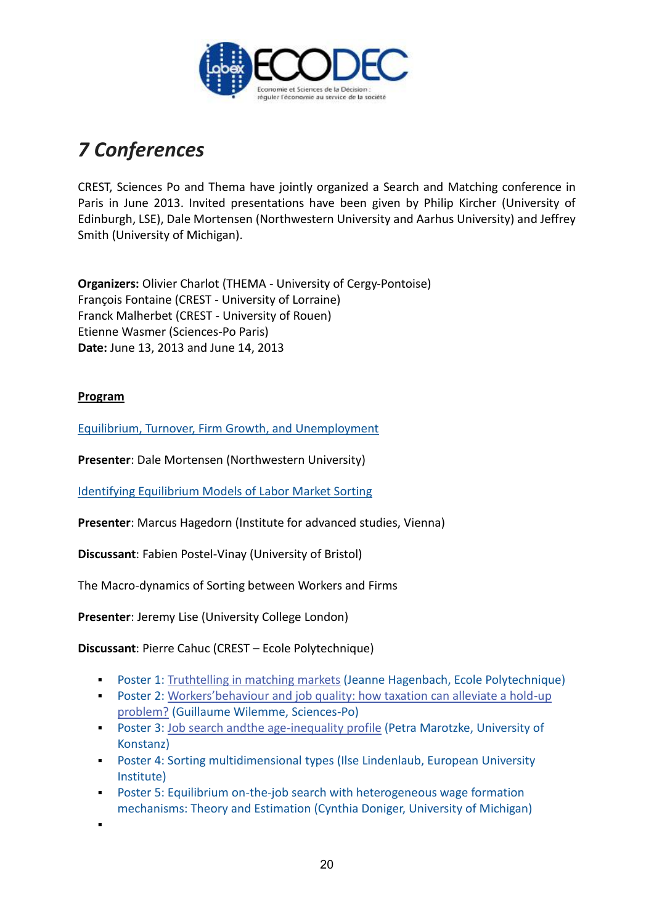

# *7 Conferences*

CREST, Sciences Po and Thema have jointly organized a Search and Matching conference in Paris in June 2013. Invited presentations have been given by Philip Kircher (University of Edinburgh, LSE), Dale Mortensen (Northwestern University and Aarhus University) and Jeffrey Smith (University of Michigan).

**Organizers:** Olivier Charlot (THEMA - University of Cergy-Pontoise) François Fontaine (CREST - University of Lorraine) Franck Malherbet (CREST - University of Rouen) Etienne Wasmer (Sciences-Po Paris) **Date:** June 13, 2013 and June 14, 2013

### **Program**

.

[Equilibrium, Turnover, Firm Growth, and Unemployment](https://sites.google.com/site/crestthemasamworkshop/home/papers/Dale_Mortensen.pdf?attredirects=0)

**Presenter**: Dale Mortensen (Northwestern University)

[Identifying Equilibrium Models of Labor Market Sorting](https://docs.google.com/file/d/0Bxo-tIsWOnNrdGlwbmtQX2lIWnM/edit?usp=sharing)

**Presenter**: Marcus Hagedorn (Institute for advanced studies, Vienna)

**Discussant**: Fabien Postel-Vinay (University of Bristol)

The Macro-dynamics of Sorting between Workers and Firms

**Presenter**: Jeremy Lise (University College London)

**Discussant**: Pierre Cahuc (CREST – Ecole Polytechnique)

- Poster 1: [Truthtelling in matching markets](https://docs.google.com/viewer?a=v&pid=sites&srcid=ZGVmYXVsdGRvbWFpbnxzYW1wYXJpczIwMTN8Z3g6NGM2NjJhMWIyYTEyMTFmZQ) (Jeanne Hagenbach, Ecole Polytechnique)
- Poster 2: [Workers'behaviour and job quality: how taxation can alleviate a hold-up](https://docs.google.com/viewer?a=v&pid=sites&srcid=ZGVmYXVsdGRvbWFpbnxzYW1wYXJpczIwMTN8Z3g6MWJhNGExOWZlZmVmNTBkNg)  [problem?](https://docs.google.com/viewer?a=v&pid=sites&srcid=ZGVmYXVsdGRvbWFpbnxzYW1wYXJpczIwMTN8Z3g6MWJhNGExOWZlZmVmNTBkNg) (Guillaume Wilemme, Sciences-Po)
- Poster 3: [Job search andthe age-inequality profile](https://docs.google.com/viewer?a=v&pid=sites&srcid=ZGVmYXVsdGRvbWFpbnxzYW1wYXJpczIwMTN8Z3g6MmY0MzJjNDhkZDhmZmZhMg) (Petra Marotzke, University of Konstanz)
- Poster 4: Sorting multidimensional types (Ilse Lindenlaub, European University Institute)
- Poster 5: Equilibrium on-the-job search with heterogeneous wage formation mechanisms: Theory and Estimation (Cynthia Doniger, University of Michigan)
	- 20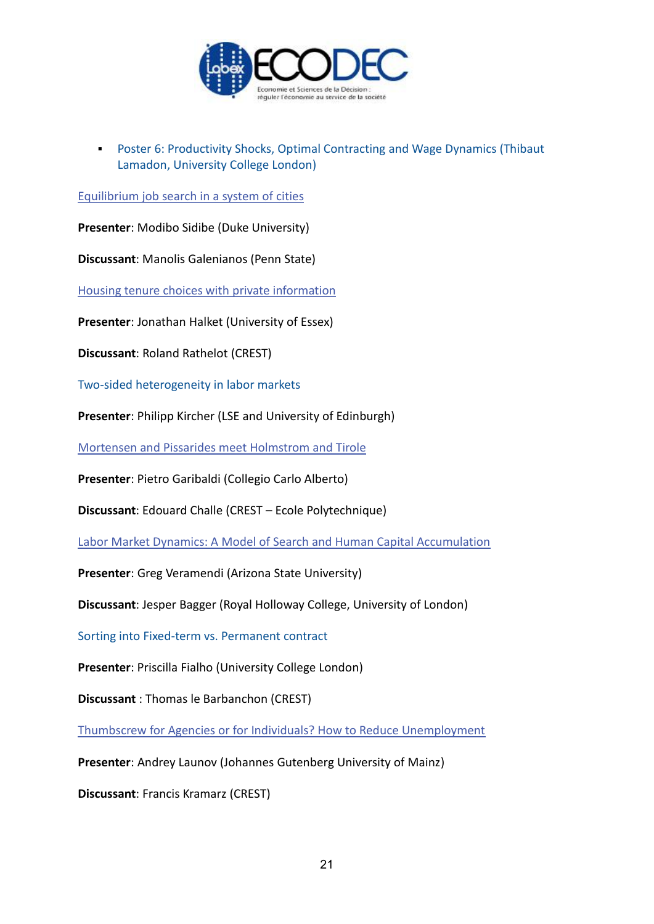

**Poster 6: Productivity Shocks, Optimal Contracting and Wage Dynamics (Thibaut** Lamadon, University College London)

[Equilibrium job search in a system of cities](https://docs.google.com/viewer?a=v&pid=sites&srcid=ZGVmYXVsdGRvbWFpbnxzYW1wYXJpczIwMTN8Z3g6NzQ0NjlhYjRlMzVkOGFjMw)

**Presenter**: Modibo Sidibe (Duke University)

**Discussant**: Manolis Galenianos (Penn State)

[Housing tenure choices with private information](https://docs.google.com/viewer?a=v&pid=sites&srcid=ZGVmYXVsdGRvbWFpbnxzYW1wYXJpczIwMTN8Z3g6NjRmNDdjODkwM2RjY2NhZQ)

**Presenter**: Jonathan Halket (University of Essex)

**Discussant**: Roland Rathelot (CREST)

Two-sided heterogeneity in labor markets

**Presenter**: Philipp Kircher (LSE and University of Edinburgh)

[Mortensen and Pissarides meet Holmstrom and Tirole](https://docs.google.com/viewer?a=v&pid=sites&srcid=ZGVmYXVsdGRvbWFpbnxzYW1wYXJpczIwMTN8Z3g6ODU1ZTVjMThkODA1ZGYy)

**Presenter**: Pietro Garibaldi (Collegio Carlo Alberto)

**Discussant**: Edouard Challe (CREST – Ecole Polytechnique)

[Labor Market Dynamics: A Model of Search and Human Capital Accumulation](https://docs.google.com/file/d/0Bxo-tIsWOnNrNFMtdzZDOU1CWTQ/edit?usp=sharing)

**Presenter**: Greg Veramendi (Arizona State University)

**Discussant**: Jesper Bagger (Royal Holloway College, University of London)

Sorting into Fixed-term vs. Permanent contract

**Presenter**: Priscilla Fialho (University College London)

**Discussant** : Thomas le Barbanchon (CREST)

[Thumbscrew for Agencies or for Individuals? How to Reduce Unemployment](https://docs.google.com/viewer?a=v&pid=sites&srcid=ZGVmYXVsdGRvbWFpbnxzYW1wYXJpczIwMTN8Z3g6N2NjNzMxZjJlYjIyNjNiMA)

**Presenter**: Andrey Launov (Johannes Gutenberg University of Mainz)

**Discussant**: Francis Kramarz (CREST)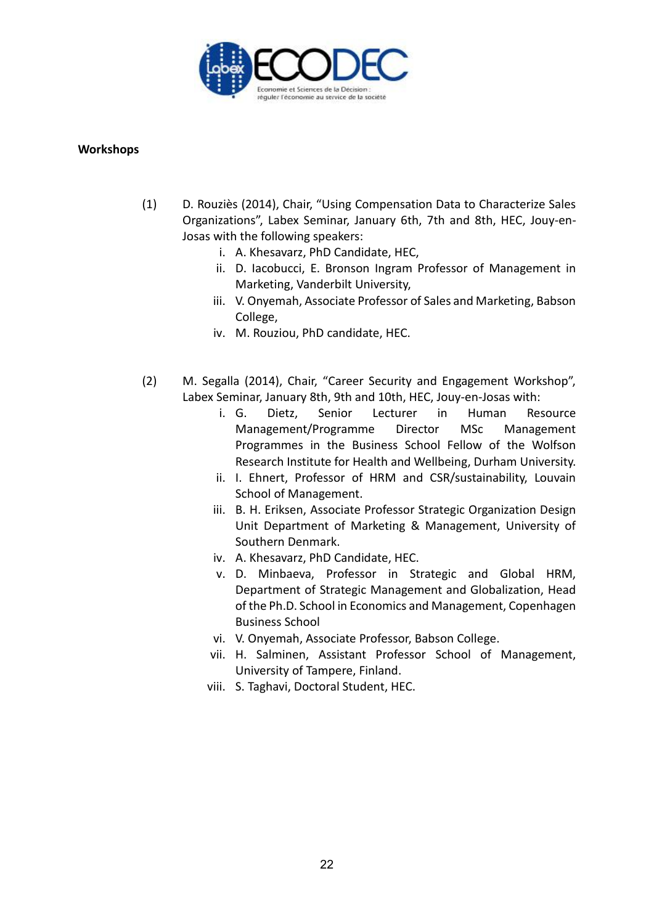

### **Workshops**

- (1) D. Rouziès (2014), Chair, "Using Compensation Data to Characterize Sales Organizations", Labex Seminar, January 6th, 7th and 8th, HEC, Jouy-en-Josas with the following speakers:
	- i. A. Khesavarz, PhD Candidate, HEC,
	- ii. D. Iacobucci, E. Bronson Ingram Professor of Management in Marketing, Vanderbilt University,
	- iii. V. Onyemah, Associate Professor of Sales and Marketing, Babson College,
	- iv. M. Rouziou, PhD candidate, HEC.
- (2) M. Segalla (2014), Chair, "Career Security and Engagement Workshop", Labex Seminar, January 8th, 9th and 10th, HEC, Jouy-en-Josas with:
	- i. G. Dietz, Senior Lecturer in Human Resource Management/Programme Director MSc Management Programmes in the Business School Fellow of the Wolfson Research Institute for Health and Wellbeing, Durham University.
	- ii. I. Ehnert, Professor of HRM and CSR/sustainability, Louvain School of Management.
	- iii. B. H. Eriksen, Associate Professor Strategic Organization Design Unit Department of Marketing & Management, University of Southern Denmark.
	- iv. A. Khesavarz, PhD Candidate, HEC.
	- v. D. Minbaeva, Professor in Strategic and Global HRM, Department of Strategic Management and Globalization, Head of the Ph.D. School in Economics and Management, Copenhagen Business School
	- vi. V. Onyemah, Associate Professor, Babson College.
	- vii. H. Salminen, Assistant Professor School of Management, University of Tampere, Finland.
	- viii. S. Taghavi, Doctoral Student, HEC.